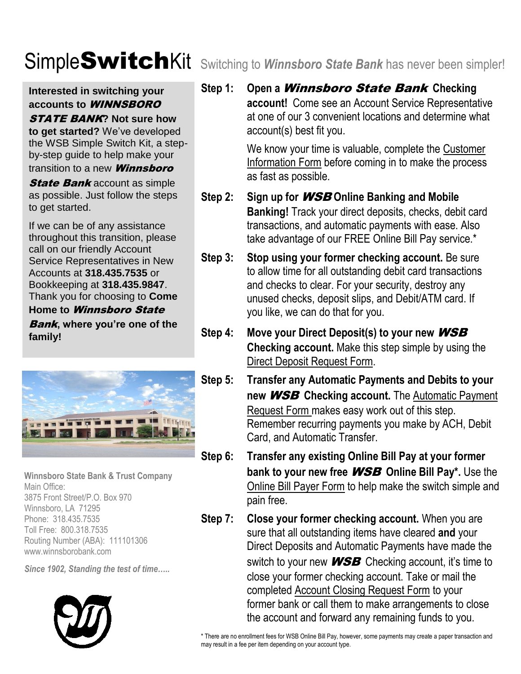### **Interested in switching your accounts to** WINNSBORO

### STATE BANK**? Not sure how**

**to get started?** We've developed the WSB Simple Switch Kit, a stepby-step guide to help make your

### transition to a new **Winnsboro**

**State Bank** account as simple as possible. Just follow the steps to get started.

If we can be of any assistance throughout this transition, please call on our friendly Account Service Representatives in New Accounts at **318.435.7535** or Bookkeeping at **318.435.9847**. Thank you for choosing to **Come** 

### **Home to** Winnsboro State Bank**, where you're one of the**

**family!**



**Winnsboro State Bank & Trust Company** Main Office: 3875 Front Street/P.O. Box 970 Winnsboro, LA 71295 Phone: 318.435.7535 Toll Free: 800.318.7535 Routing Number (ABA): 111101306 www.winnsborobank.com

*Since 1902, Standing the test of time…..*



**Step 1: Open a** Winnsboro State Bank **Checking** 

**account!** Come see an Account Service Representative at one of our 3 convenient locations and determine what account(s) best fit you.

We know your time is valuable, complete the Customer Information Form before coming in to make the process as fast as possible.

- **Step 2: Sign up for** WSB **Online Banking and Mobile Banking!** Track your direct deposits, checks, debit card transactions, and automatic payments with ease. Also take advantage of our FREE Online Bill Pay service.\*
- **Step 3: Stop using your former checking account.** Be sure to allow time for all outstanding debit card transactions and checks to clear. For your security, destroy any unused checks, deposit slips, and Debit/ATM card. If you like, we can do that for you.
- **Step 4: Move your Direct Deposit(s) to your new** WSB **Checking account.** Make this step simple by using the Direct Deposit Request Form.
- **Step 5: Transfer any Automatic Payments and Debits to your new** WSB **Checking account.** The Automatic Payment Request Form makes easy work out of this step. Remember recurring payments you make by ACH, Debit Card, and Automatic Transfer.
- **Step 6: Transfer any existing Online Bill Pay at your former bank to your new free** WSB **Online Bill Pay\*.** Use the Online Bill Payer Form to help make the switch simple and pain free.
- **Step 7: Close your former checking account.** When you are sure that all outstanding items have cleared **and** your Direct Deposits and Automatic Payments have made the switch to your new **WSB** Checking account, it's time to close your former checking account. Take or mail the completed Account Closing Request Form to your former bank or call them to make arrangements to close the account and forward any remaining funds to you.

\* There are no enrollment fees for WSB Online Bill Pay, however, some payments may create a paper transaction and may result in a fee per item depending on your account type.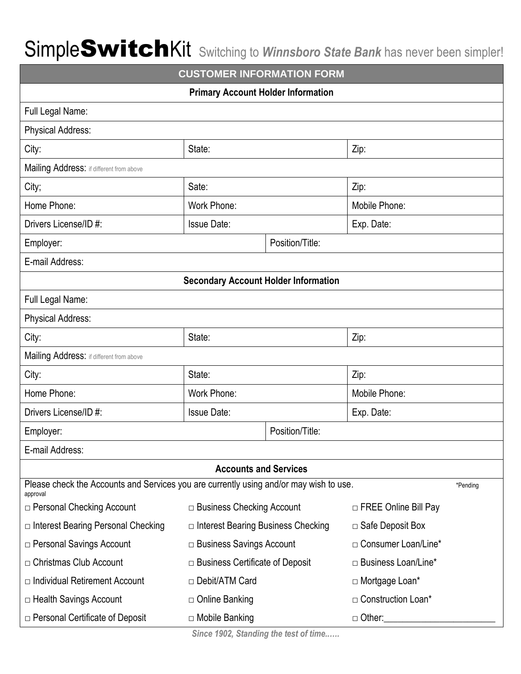| <b>CUSTOMER INFORMATION FORM</b>                                                                               |                                             |                 |                             |  |
|----------------------------------------------------------------------------------------------------------------|---------------------------------------------|-----------------|-----------------------------|--|
| <b>Primary Account Holder Information</b>                                                                      |                                             |                 |                             |  |
| Full Legal Name:                                                                                               |                                             |                 |                             |  |
| <b>Physical Address:</b>                                                                                       |                                             |                 |                             |  |
| City:                                                                                                          | State:                                      |                 | Zip:                        |  |
| Mailing Address: if different from above                                                                       |                                             |                 |                             |  |
| City;                                                                                                          | Sate:                                       |                 | Zip:                        |  |
| Home Phone:                                                                                                    | Work Phone:                                 |                 | Mobile Phone:               |  |
| Drivers License/ID #:                                                                                          | <b>Issue Date:</b>                          |                 | Exp. Date:                  |  |
| Employer:                                                                                                      |                                             | Position/Title: |                             |  |
| E-mail Address:                                                                                                |                                             |                 |                             |  |
|                                                                                                                | <b>Secondary Account Holder Information</b> |                 |                             |  |
| Full Legal Name:                                                                                               |                                             |                 |                             |  |
| <b>Physical Address:</b>                                                                                       |                                             |                 |                             |  |
| City:                                                                                                          | State:                                      |                 | Zip:                        |  |
| Mailing Address: if different from above                                                                       |                                             |                 |                             |  |
| City:                                                                                                          | State:                                      |                 | Zip:                        |  |
| Home Phone:                                                                                                    | <b>Work Phone:</b>                          |                 | Mobile Phone:               |  |
| Drivers License/ID #:                                                                                          | <b>Issue Date:</b>                          |                 | Exp. Date:                  |  |
| Employer:                                                                                                      | Position/Title:                             |                 |                             |  |
| E-mail Address:                                                                                                |                                             |                 |                             |  |
| <b>Accounts and Services</b>                                                                                   |                                             |                 |                             |  |
| Please check the Accounts and Services you are currently using and/or may wish to use.<br>*Pending<br>approval |                                             |                 |                             |  |
| $\Box$ Personal Checking Account                                                                               | $\Box$ Business Checking Account            |                 | $\Box$ FREE Online Bill Pay |  |
| □ Interest Bearing Personal Checking                                                                           | $\Box$ Interest Bearing Business Checking   |                 | $\Box$ Safe Deposit Box     |  |
| □ Personal Savings Account                                                                                     | $\Box$ Business Savings Account             |                 | □ Consumer Loan/Line*       |  |
| $\Box$ Christmas Club Account                                                                                  | $\Box$ Business Certificate of Deposit      |                 | $\Box$ Business Loan/Line*  |  |
| $\Box$ Individual Retirement Account                                                                           | □ Debit/ATM Card                            |                 | □ Mortgage Loan*            |  |
| □ Health Savings Account                                                                                       | □ Online Banking                            |                 | □ Construction Loan*        |  |
| $\Box$ Personal Certificate of Deposit                                                                         | □ Mobile Banking<br>$\Box$ Other:           |                 |                             |  |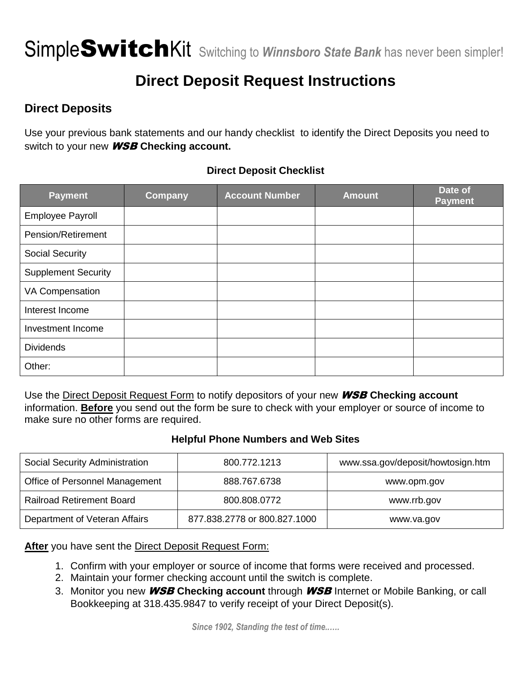## **Direct Deposit Request Instructions**

## **Direct Deposits**

Use your previous bank statements and our handy checklist to identify the Direct Deposits you need to switch to your new WSB **Checking account.**

### **Direct Deposit Checklist**

| <b>Payment</b>             | <b>Company</b> | <b>Account Number</b> | <b>Amount</b> | Date of<br><b>Payment</b> |
|----------------------------|----------------|-----------------------|---------------|---------------------------|
| Employee Payroll           |                |                       |               |                           |
| Pension/Retirement         |                |                       |               |                           |
| <b>Social Security</b>     |                |                       |               |                           |
| <b>Supplement Security</b> |                |                       |               |                           |
| VA Compensation            |                |                       |               |                           |
| Interest Income            |                |                       |               |                           |
| Investment Income          |                |                       |               |                           |
| <b>Dividends</b>           |                |                       |               |                           |
| Other:                     |                |                       |               |                           |

Use the Direct Deposit Request Form to notify depositors of your new WSB **Checking account** information. **Before** you send out the form be sure to check with your employer or source of income to make sure no other forms are required.

#### **Helpful Phone Numbers and Web Sites**

| Social Security Administration   | 800.772.1213                 | www.ssa.gov/deposit/howtosign.htm |
|----------------------------------|------------------------------|-----------------------------------|
| Office of Personnel Management   | 888.767.6738                 | www.opm.gov                       |
| <b>Railroad Retirement Board</b> | 800.808.0772                 | www.rrb.gov                       |
| Department of Veteran Affairs    | 877.838.2778 or 800.827.1000 | www.va.gov                        |

### **After** you have sent the Direct Deposit Request Form:

- 1. Confirm with your employer or source of income that forms were received and processed.
- 2. Maintain your former checking account until the switch is complete.
- 3. Monitor you new WSB **Checking account** through WSB Internet or Mobile Banking, or call Bookkeeping at 318.435.9847 to verify receipt of your Direct Deposit(s).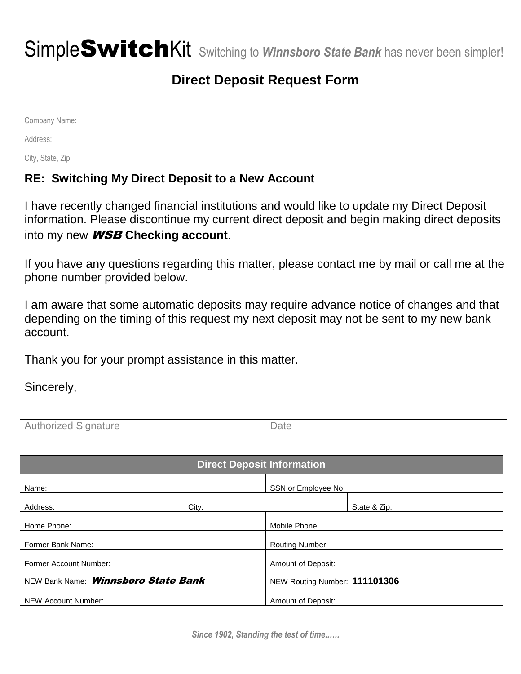## **Direct Deposit Request Form**

Company Name:

Address:

City, State, Zip

### **RE: Switching My Direct Deposit to a New Account**

I have recently changed financial institutions and would like to update my Direct Deposit information. Please discontinue my current direct deposit and begin making direct deposits into my new WSB **Checking account**.

If you have any questions regarding this matter, please contact me by mail or call me at the phone number provided below.

I am aware that some automatic deposits may require advance notice of changes and that depending on the timing of this request my next deposit may not be sent to my new bank account.

Thank you for your prompt assistance in this matter.

Sincerely,

| <b>Authorized Signature</b> | Date |
|-----------------------------|------|
|-----------------------------|------|

| <b>Direct Deposit Information</b>          |       |                               |              |
|--------------------------------------------|-------|-------------------------------|--------------|
| Name:                                      |       | SSN or Employee No.           |              |
| Address:                                   | City: |                               | State & Zip: |
| Home Phone:                                |       | Mobile Phone:                 |              |
| Former Bank Name:                          |       | <b>Routing Number:</b>        |              |
| <b>Former Account Number:</b>              |       | Amount of Deposit:            |              |
| NEW Bank Name: <i>Winnsboro State Bank</i> |       | NEW Routing Number: 111101306 |              |
| NEW Account Number:                        |       | Amount of Deposit:            |              |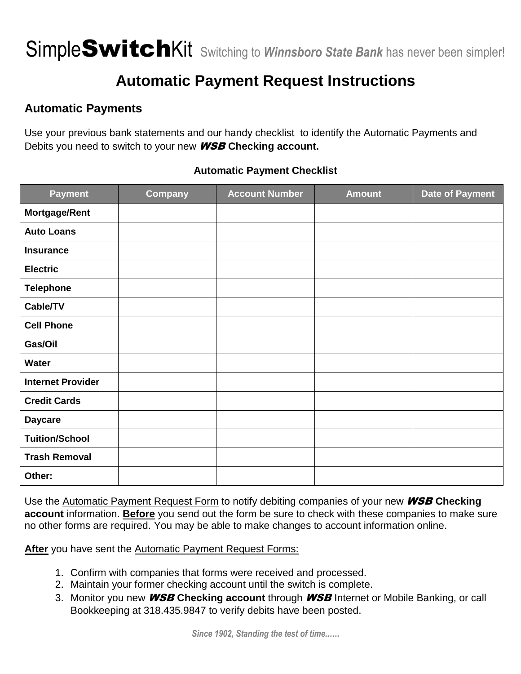## **Automatic Payment Request Instructions**

## **Automatic Payments**

Use your previous bank statements and our handy checklist to identify the Automatic Payments and Debits you need to switch to your new WSB **Checking account.** 

## **Payment Company Account Number Amount Date of Payment Mortgage/Rent Auto Loans Insurance Electric Telephone Cable/TV Cell Phone Gas/Oil Water Internet Provider Credit Cards Daycare Tuition/School Trash Removal Other:**

### **Automatic Payment Checklist**

Use the Automatic Payment Request Form to notify debiting companies of your new WSB **Checking account** information. **Before** you send out the form be sure to check with these companies to make sure no other forms are required. You may be able to make changes to account information online.

**After** you have sent the Automatic Payment Request Forms:

- 1. Confirm with companies that forms were received and processed.
- 2. Maintain your former checking account until the switch is complete.
- 3. Monitor you new WSB **Checking account** through WSB Internet or Mobile Banking, or call Bookkeeping at 318.435.9847 to verify debits have been posted.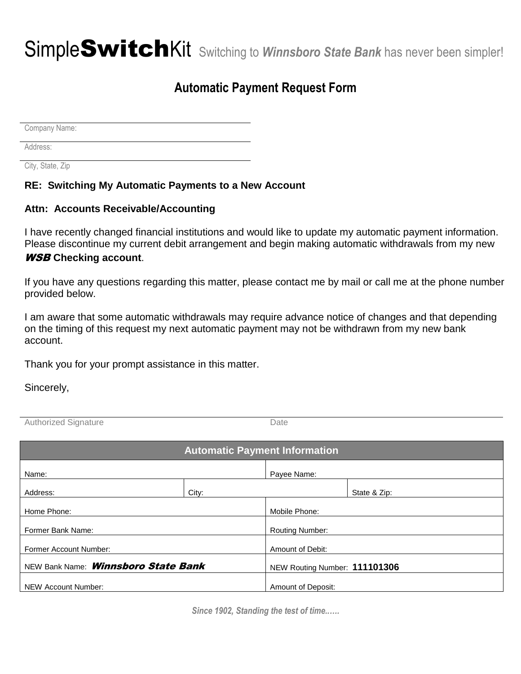## **Automatic Payment Request Form**

Company Name:

Address:

City, State, Zip

### **RE: Switching My Automatic Payments to a New Account**

#### **Attn: Accounts Receivable/Accounting**

I have recently changed financial institutions and would like to update my automatic payment information. Please discontinue my current debit arrangement and begin making automatic withdrawals from my new WSB **Checking account**.

If you have any questions regarding this matter, please contact me by mail or call me at the phone number provided below.

I am aware that some automatic withdrawals may require advance notice of changes and that depending on the timing of this request my next automatic payment may not be withdrawn from my new bank account.

Thank you for your prompt assistance in this matter.

Sincerely,

Authorized Signature **Date** 

| <b>Automatic Payment Information</b>       |       |                               |              |
|--------------------------------------------|-------|-------------------------------|--------------|
| Name:                                      |       | Payee Name:                   |              |
| Address:                                   | City: |                               | State & Zip: |
| Home Phone:                                |       | Mobile Phone:                 |              |
| Former Bank Name:                          |       | <b>Routing Number:</b>        |              |
| <b>Former Account Number:</b>              |       | Amount of Debit:              |              |
| NEW Bank Name: <b>Winnsboro State Bank</b> |       | NEW Routing Number: 111101306 |              |
| NEW Account Number:                        |       | Amount of Deposit:            |              |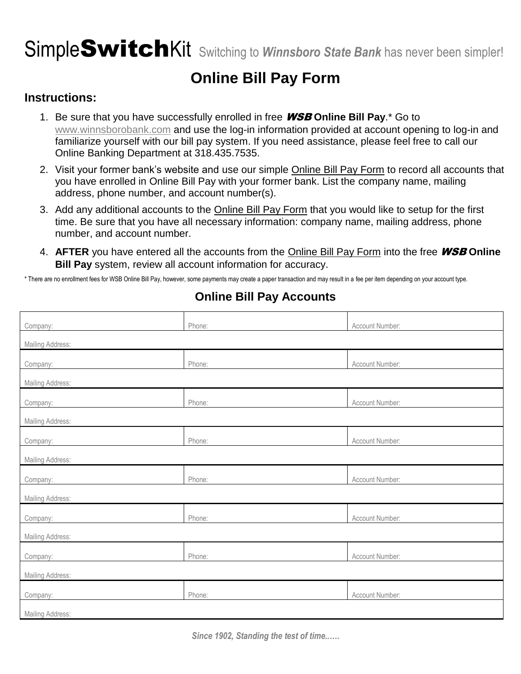## **Online Bill Pay Form**

### **Instructions:**

- 1. Be sure that you have successfully enrolled in free WSB **Online Bill Pay**.\* Go to [www.winnsborobank.com](http://www.winnsborobank.com/) and use the log-in information provided at account opening to log-in and familiarize yourself with our bill pay system. If you need assistance, please feel free to call our Online Banking Department at 318.435.7535.
- 2. Visit your former bank's website and use our simple Online Bill Pay Form to record all accounts that you have enrolled in Online Bill Pay with your former bank. List the company name, mailing address, phone number, and account number(s).
- 3. Add any additional accounts to the Online Bill Pay Form that you would like to setup for the first time. Be sure that you have all necessary information: company name, mailing address, phone number, and account number.
- 4. **AFTER** you have entered all the accounts from the Online Bill Pay Form into the free WSB **Online Bill Pay** system, review all account information for accuracy.

\* There are no enrollment fees for WSB Online Bill Pay, however, some payments may create a paper transaction and may result in a fee per item depending on your account type.

| Company:         | Phone: | Account Number: |  |  |
|------------------|--------|-----------------|--|--|
| Mailing Address: |        |                 |  |  |
| Company:         | Phone: | Account Number: |  |  |
| Mailing Address: |        |                 |  |  |
| Company:         | Phone: | Account Number: |  |  |
| Mailing Address: |        |                 |  |  |
| Company:         | Phone: | Account Number: |  |  |
| Mailing Address: |        |                 |  |  |
| Company:         | Phone: | Account Number: |  |  |
| Mailing Address: |        |                 |  |  |
| Company:         | Phone: | Account Number: |  |  |
| Mailing Address: |        |                 |  |  |
| Company:         | Phone: | Account Number: |  |  |
| Mailing Address: |        |                 |  |  |
| Company:         | Phone: | Account Number: |  |  |
| Mailing Address: |        |                 |  |  |
|                  |        |                 |  |  |

### **Online Bill Pay Accounts**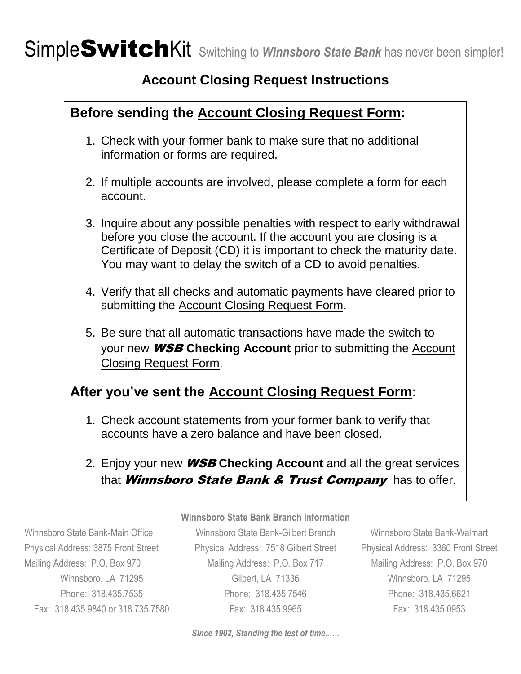## **Account Closing Request Instructions**

## **Before sending the Account Closing Request Form:** 1. Check with your former bank to make sure that no additional information or forms are required. 2. If multiple accounts are involved, please complete a form for each account. 3. Inquire about any possible penalties with respect to early withdrawal before you close the account. If the account you are closing is a Certificate of Deposit (CD) it is important to check the maturity date. You may want to delay the switch of a CD to avoid penalties. 4. Verify that all checks and automatic payments have cleared prior to submitting the Account Closing Request Form. 5. Be sure that all automatic transactions have made the switch to your new WSB **Checking Account** prior to submitting the Account Closing Request Form. **After you've sent the Account Closing Request Form:**

- 1. Check account statements from your former bank to verify that accounts have a zero balance and have been closed.
- 2. Enjoy your new WSB **Checking Account** and all the great services that **Winnsboro State Bank & Trust Company** has to offer.

#### **Winnsboro State Bank Branch Information**

Winnsboro State Bank-Main Office Winnsboro State Bank-Gilbert Branch Winnsboro State Bank-Walmart Physical Address: 3875 Front Street Physical Address: 7518 Gilbert Street Physical Address: 3360 Front Street Mailing Address: P.O. Box 970 Mailing Address: P.O. Box 717 Mailing Address: P.O. Box 970 Winnsboro, LA 71295 Gilbert, LA 71336 Winnsboro, LA 71295 Phone: 318.435.7535 Phone: 318.435.7546 Phone: 318.435.6621 Fax: 318.435.9840 or 318.735.7580 Fax: 318.435.9965 Fax: 318.435.0953